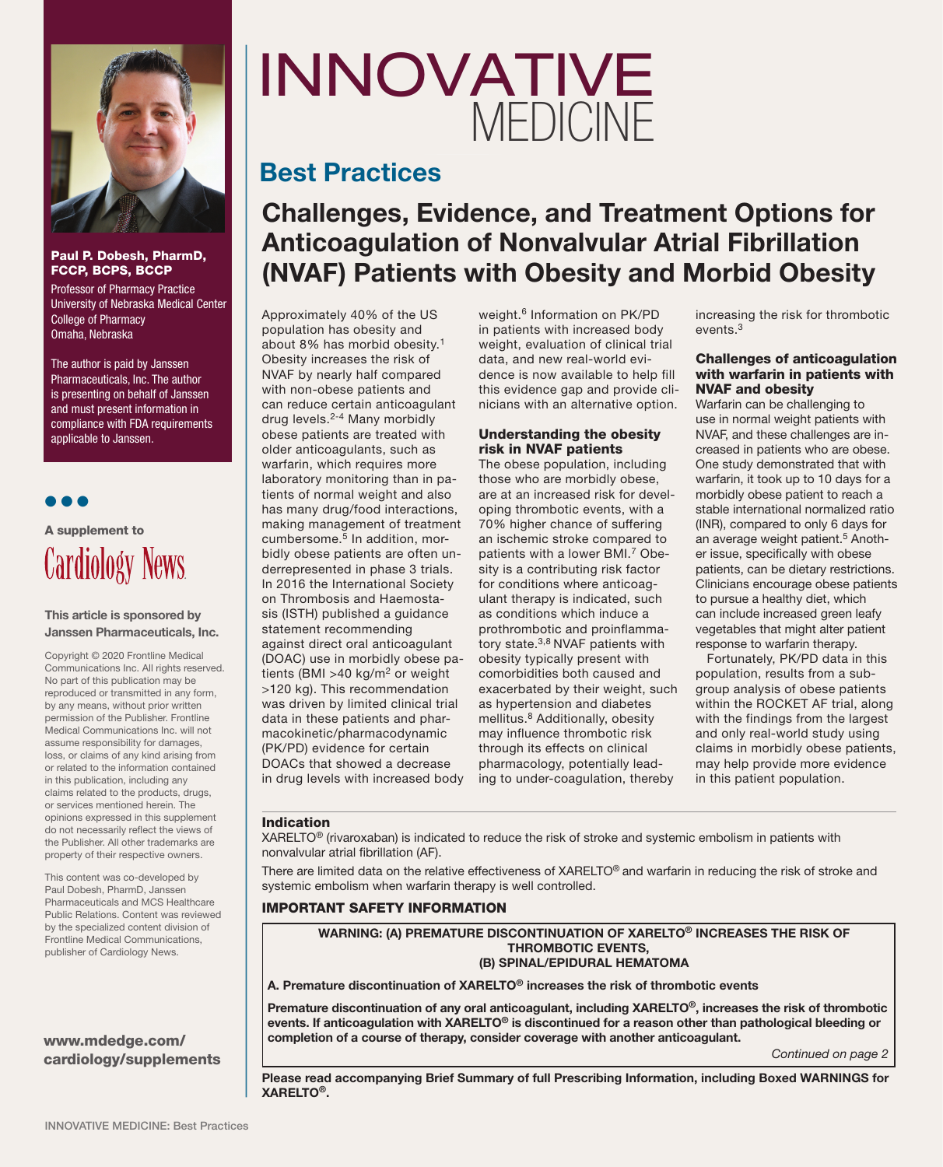

#### Paul P. Dobesh, PharmD, FCCP, BCPS, BCCP

Professor of Pharmacy Practice University of Nebraska Medical Center College of Pharmacy Omaha, Nebraska

The author is paid by Janssen Pharmaceuticals, Inc. The author is presenting on behalf of Janssen and must present information in compliance with FDA requirements applicable to Janssen.

● ● ●

## A supplement to Cardiology News

#### This article is sponsored by Janssen Pharmaceuticals, Inc.

Copyright © 2020 Frontline Medical Communications Inc. All rights reserved. No part of this publication may be reproduced or transmitted in any form, by any means, without prior written permission of the Publisher. Frontline Medical Communications Inc. will not assume responsibility for damages, loss, or claims of any kind arising from or related to the information contained in this publication, including any claims related to the products, drugs, or services mentioned herein. The opinions expressed in this supplement do not necessarily reflect the views of the Publisher. All other trademarks are property of their respective owners.

This content was co-developed by Paul Dobesh, PharmD, Janssen Pharmaceuticals and MCS Healthcare Public Relations. Content was reviewed by the specialized content division of Frontline Medical Communications, publisher of Cardiology News.

#### www.mdedge.com/ cardiology/supplements

# INNOVATIVE MEDICINE

### Best Practices

## Challenges, Evidence, and Treatment Options for Anticoagulation of Nonvalvular Atrial Fibrillation (NVAF) Patients with Obesity and Morbid Obesity

Approximately 40% of the US population has obesity and about 8% has morbid obesity.1 Obesity increases the risk of NVAF by nearly half compared with non-obese patients and can reduce certain anticoagulant drug levels.2-4 Many morbidly obese patients are treated with older anticoagulants, such as warfarin, which requires more laboratory monitoring than in patients of normal weight and also has many drug/food interactions, making management of treatment cumbersome. $5$  In addition, morbidly obese patients are often underrepresented in phase 3 trials. In 2016 the International Society on Thrombosis and Haemostasis (ISTH) published a guidance statement recommending against direct oral anticoagulant (DOAC) use in morbidly obese patients (BMI >40 kg/m<sup>2</sup> or weight >120 kg). This recommendation was driven by limited clinical trial data in these patients and pharmacokinetic/pharmacodynamic (PK/PD) evidence for certain DOACs that showed a decrease in drug levels with increased body Summarised by the author<br>
Individual and new real-world evi-<br>
Individual and new real-world evi-<br>
of Janssen<br>
with non-obese patients and<br>
can reduce certain anticoagulant<br>
can reduce certain anticoagulant<br>
dividence gap a

weight.<sup>6</sup> Information on PK/PD in patients with increased body weight, evaluation of clinical trial data, and new real-world evidence is now available to help fill this evidence gap and provide clinicians with an alternative option.

#### Understanding the obesity risk in NVAF patients

The obese population, including those who are morbidly obese, are at an increased risk for developing thrombotic events, with a 70% higher chance of suffering an ischemic stroke compared to patients with a lower BMI.7 Obesity is a contributing risk factor for conditions where anticoagulant therapy is indicated, such as conditions which induce a prothrombotic and proinflammatory state.3,8 NVAF patients with obesity typically present with comorbidities both caused and exacerbated by their weight, such as hypertension and diabetes mellitus.<sup>8</sup> Additionally, obesity may influence thrombotic risk through its effects on clinical pharmacology, potentially leading to under-coagulation, thereby

increasing the risk for thrombotic events<sup>3</sup>

#### Challenges of anticoagulation with warfarin in patients with NVAF and obesity

Warfarin can be challenging to use in normal weight patients with NVAF, and these challenges are increased in patients who are obese. One study demonstrated that with warfarin, it took up to 10 days for a morbidly obese patient to reach a stable international normalized ratio (INR), compared to only 6 days for an average weight patient.<sup>5</sup> Another issue, specifically with obese patients, can be dietary restrictions. Clinicians encourage obese patients to pursue a healthy diet, which can include increased green leafy vegetables that might alter patient response to warfarin therapy.

Fortunately, PK/PD data in this population, results from a subgroup analysis of obese patients within the ROCKET AF trial, along with the findings from the largest and only real-world study using claims in morbidly obese patients, may help provide more evidence in this patient population.

#### Indication

XARELTO® (rivaroxaban) is indicated to reduce the risk of stroke and systemic embolism in patients with nonvalvular atrial fibrillation (AF).

There are limited data on the relative effectiveness of XARELTO® and warfarin in reducing the risk of stroke and systemic embolism when warfarin therapy is well controlled.

#### IMPORTANT SAFETY INFORMATION

WARNING: (A) PREMATURE DISCONTINUATION OF XARELTO® INCREASES THE RISK OF THROMBOTIC EVENTS, (B) SPINAL/EPIDURAL HEMATOMA

#### A. Premature discontinuation of XARELTO® increases the risk of thrombotic events

Premature discontinuation of any oral anticoagulant, including XARELTO®, increases the risk of thrombotic events. If anticoagulation with XARELTO<sup>®</sup> is discontinued for a reason other than pathological bleeding or completion of a course of therapy, consider coverage with another anticoagulant.

*Continued on page 2*

Please read accompanying Brief Summary of full Prescribing Information, including Boxed WARNINGS for XARELTO®.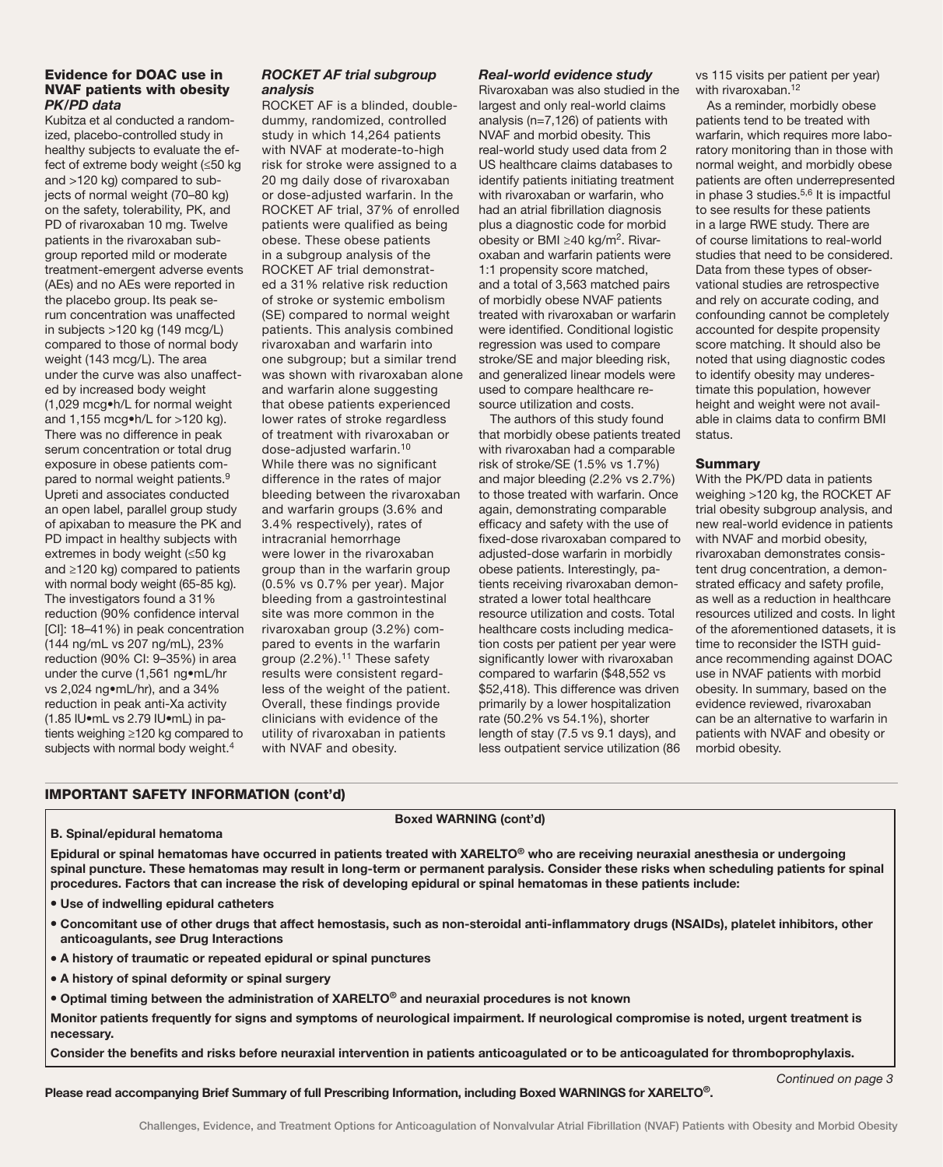#### Evidence for DOAC use in NVAF patients with obesity *PK/PD data*

Kubitza et al conducted a randomized, placebo-controlled study in healthy subjects to evaluate the effect of extreme body weight (≤50 kg and >120 kg) compared to subjects of normal weight (70–80 kg) on the safety, tolerability, PK, and PD of rivaroxaban 10 mg. Twelve patients in the rivaroxaban subgroup reported mild or moderate treatment-emergent adverse events (AEs) and no AEs were reported in the placebo group. Its peak serum concentration was unaffected in subjects >120 kg (149 mcg/L) compared to those of normal body weight (143 mcg/L). The area under the curve was also unaffected by increased body weight (1,029 mcg•h/L for normal weight and 1,155 mcg•h/L for >120 kg). There was no difference in peak serum concentration or total drug exposure in obese patients compared to normal weight patients.9 Upreti and associates conducted an open label, parallel group study of apixaban to measure the PK and PD impact in healthy subjects with extremes in body weight (≤50 kg and ≥120 kg) compared to patients with normal body weight (65-85 kg). The investigators found a 31% reduction (90% confidence interval [CI]: 18–41%) in peak concentration (144 ng/mL vs 207 ng/mL), 23% reduction (90% CI: 9–35%) in area under the curve (1,561 ng•mL/hr vs 2,024 ng•mL/hr), and a 34% reduction in peak anti-Xa activity (1.85 IU•mL vs 2.79 IU•mL) in patients weighing ≥120 kg compared to subjects with normal body weight.<sup>4</sup>

#### *ROCKET AF trial subgroup analysis*

ROCKET AF is a blinded, doubledummy, randomized, controlled study in which 14,264 patients with NVAF at moderate-to-high risk for stroke were assigned to a 20 mg daily dose of rivaroxaban or dose-adjusted warfarin. In the ROCKET AF trial, 37% of enrolled patients were qualified as being obese. These obese patients in a subgroup analysis of the ROCKET AF trial demonstrated a 31% relative risk reduction of stroke or systemic embolism (SE) compared to normal weight patients. This analysis combined rivaroxaban and warfarin into one subgroup; but a similar trend was shown with rivaroxaban alone and warfarin alone suggesting that obese patients experienced lower rates of stroke regardless of treatment with rivaroxaban or dose-adjusted warfarin.10 While there was no significant difference in the rates of major bleeding between the rivaroxaban and warfarin groups (3.6% and 3.4% respectively), rates of intracranial hemorrhage were lower in the rivaroxaban group than in the warfarin group (0.5% vs 0.7% per year). Major bleeding from a gastrointestinal site was more common in the rivaroxaban group (3.2%) compared to events in the warfarin group (2.2%).<sup>11</sup> These safety results were consistent regardless of the weight of the patient. Overall, these findings provide clinicians with evidence of the utility of rivaroxaban in patients with NVAF and obesity.

#### *Real-world evidence study*

Rivaroxaban was also studied in the largest and only real-world claims analysis (n=7,126) of patients with NVAF and morbid obesity. This real-world study used data from 2 US healthcare claims databases to identify patients initiating treatment with rivaroxaban or warfarin, who had an atrial fibrillation diagnosis plus a diagnostic code for morbid obesity or BMI ≥40 kg/m<sup>2</sup>. Rivaroxaban and warfarin patients were 1:1 propensity score matched, and a total of 3,563 matched pairs of morbidly obese NVAF patients treated with rivaroxaban or warfarin were identified. Conditional logistic regression was used to compare stroke/SE and major bleeding risk, and generalized linear models were used to compare healthcare resource utilization and costs.

The authors of this study found that morbidly obese patients treated with rivaroxaban had a comparable risk of stroke/SE (1.5% vs 1.7%) and major bleeding (2.2% vs 2.7%) to those treated with warfarin. Once again, demonstrating comparable efficacy and safety with the use of fixed-dose rivaroxaban compared to adjusted-dose warfarin in morbidly obese patients. Interestingly, patients receiving rivaroxaban demonstrated a lower total healthcare resource utilization and costs. Total healthcare costs including medication costs per patient per year were significantly lower with rivaroxaban compared to warfarin (\$48,552 vs \$52,418). This difference was driven primarily by a lower hospitalization rate (50.2% vs 54.1%), shorter length of stay (7.5 vs 9.1 days), and less outpatient service utilization (86

vs 115 visits per patient per year) with rivaroxaban.<sup>12</sup>

As a reminder, morbidly obese patients tend to be treated with warfarin, which requires more laboratory monitoring than in those with normal weight, and morbidly obese patients are often underrepresented in phase  $3$  studies.<sup>5,6</sup> It is impactful to see results for these patients in a large RWE study. There are of course limitations to real-world studies that need to be considered. Data from these types of observational studies are retrospective and rely on accurate coding, and confounding cannot be completely accounted for despite propensity score matching. It should also be noted that using diagnostic codes to identify obesity may underestimate this population, however height and weight were not available in claims data to confirm BMI status.

#### Summary

With the PK/PD data in patients weighing >120 kg, the ROCKET AF trial obesity subgroup analysis, and new real-world evidence in patients with NVAF and morbid obesity, rivaroxaban demonstrates consistent drug concentration, a demonstrated efficacy and safety profile, as well as a reduction in healthcare resources utilized and costs. In light of the aforementioned datasets, it is time to reconsider the ISTH guidance recommending against DOAC use in NVAF patients with morbid obesity. In summary, based on the evidence reviewed, rivaroxaban can be an alternative to warfarin in patients with NVAF and obesity or morbid obesity.

#### IMPORTANT SAFETY INFORMATION (cont'd)

#### Boxed WARNING (cont'd)

#### B. Spinal/epidural hematoma

Epidural or spinal hematomas have occurred in patients treated with XARELTO® who are receiving neuraxial anesthesia or undergoing spinal puncture. These hematomas may result in long-term or permanent paralysis. Consider these risks when scheduling patients for spinal procedures. Factors that can increase the risk of developing epidural or spinal hematomas in these patients include:

- Use of indwelling epidural catheters
- Concomitant use of other drugs that affect hemostasis, such as non-steroidal anti-inflammatory drugs (NSAIDs), platelet inhibitors, other anticoagulants, *see* Drug Interactions
- A history of traumatic or repeated epidural or spinal punctures
- A history of spinal deformity or spinal surgery
- Optimal timing between the administration of XARELTO<sup>®</sup> and neuraxial procedures is not known

Monitor patients frequently for signs and symptoms of neurological impairment. If neurological compromise is noted, urgent treatment is necessary.

Consider the benefits and risks before neuraxial intervention in patients anticoagulated or to be anticoagulated for thromboprophylaxis.

Please read accompanying Brief Summary of full Prescribing Information, including Boxed WARNINGS for XARELTO®.

*Continued on page 3*

Challenges, Evidence, and Treatment Options for Anticoagulation of Nonvalvular Atrial Fibrillation (NVAF) Patients with Obesity and Morbid Obesity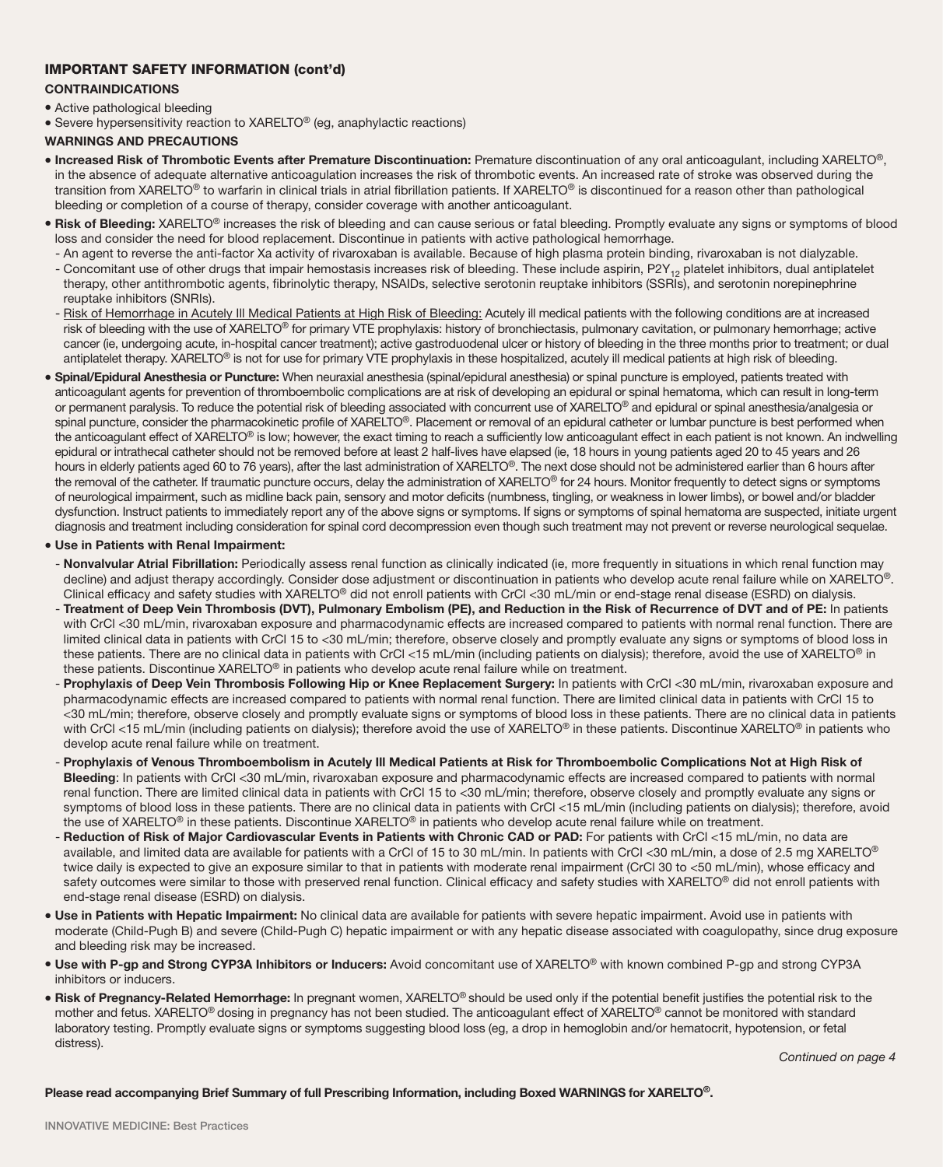#### IMPORTANT SAFETY INFORMATION (cont'd)

CONTRAINDICATIONS

#### • Active pathological bleeding

• Severe hypersensitivity reaction to XARELTO<sup>®</sup> (eg, anaphylactic reactions)

#### WARNINGS AND PRECAUTIONS

- Increased Risk of Thrombotic Events after Premature Discontinuation: Premature discontinuation of any oral anticoagulant, including XARELTO®, in the absence of adequate alternative anticoagulation increases the risk of thrombotic events. An increased rate of stroke was observed during the transition from XARELTO<sup>®</sup> to warfarin in clinical trials in atrial fibrillation patients. If XARELTO<sup>®</sup> is discontinued for a reason other than pathological bleeding or completion of a course of therapy, consider coverage with another anticoagulant.
- . Risk of Bleeding: XARELTO® increases the risk of bleeding and can cause serious or fatal bleeding. Promptly evaluate any signs or symptoms of blood loss and consider the need for blood replacement. Discontinue in patients with active pathological hemorrhage.
- An agent to reverse the anti-factor Xa activity of rivaroxaban is available. Because of high plasma protein binding, rivaroxaban is not dialyzable.
- Concomitant use of other drugs that impair hemostasis increases risk of bleeding. These include aspirin, P2Y<sub>12</sub> platelet inhibitors, dual antiplatelet therapy, other antithrombotic agents, fibrinolytic therapy, NSAIDs, selective serotonin reuptake inhibitors (SSRIs), and serotonin norepinephrine reuptake inhibitors (SNRIs).
- Risk of Hemorrhage in Acutely III Medical Patients at High Risk of Bleeding: Acutely ill medical patients with the following conditions are at increased risk of bleeding with the use of XARELTO<sup>®</sup> for primary VTE prophylaxis: history of bronchiectasis, pulmonary cavitation, or pulmonary hemorrhage; active cancer (ie, undergoing acute, in-hospital cancer treatment); active gastroduodenal ulcer or history of bleeding in the three months prior to treatment; or dual antiplatelet therapy. XARELTO® is not for use for primary VTE prophylaxis in these hospitalized, acutely ill medical patients at high risk of bleeding.
- **Spinal/Epidural Anesthesia or Puncture:** When neuraxial anesthesia (spinal/epidural anesthesia) or spinal puncture is employed, patients treated with anticoagulant agents for prevention of thromboembolic complications are at risk of developing an epidural or spinal hematoma, which can result in long-term or permanent paralysis. To reduce the potential risk of bleeding associated with concurrent use of XARELTO® and epidural or spinal anesthesia/analgesia or spinal puncture, consider the pharmacokinetic profile of XARELTO®. Placement or removal of an epidural catheter or lumbar puncture is best performed when the anticoagulant effect of XARELTO® is low; however, the exact timing to reach a sufficiently low anticoagulant effect in each patient is not known. An indwelling epidural or intrathecal catheter should not be removed before at least 2 half-lives have elapsed (ie, 18 hours in young patients aged 20 to 45 years and 26 hours in elderly patients aged 60 to 76 years), after the last administration of XARELTO®. The next dose should not be administered earlier than 6 hours after the removal of the catheter. If traumatic puncture occurs, delay the administration of XARELTO® for 24 hours. Monitor frequently to detect signs or symptoms of neurological impairment, such as midline back pain, sensory and motor deficits (numbness, tingling, or weakness in lower limbs), or bowel and/or bladder dysfunction. Instruct patients to immediately report any of the above signs or symptoms. If signs or symptoms of spinal hematoma are suspected, initiate urgent diagnosis and treatment including consideration for spinal cord decompression even though such treatment may not prevent or reverse neurological sequelae.

#### • Use in Patients with Renal Impairment:

- Nonvalvular Atrial Fibrillation: Periodically assess renal function as clinically indicated (ie, more frequently in situations in which renal function may decline) and adjust therapy accordingly. Consider dose adjustment or discontinuation in patients who develop acute renal failure while on XARELTO®. Clinical efficacy and safety studies with XARELTO® did not enroll patients with CrCl <30 mL/min or end-stage renal disease (ESRD) on dialysis.
- Treatment of Deep Vein Thrombosis (DVT), Pulmonary Embolism (PE), and Reduction in the Risk of Recurrence of DVT and of PE: In patients with CrCl <30 mL/min, rivaroxaban exposure and pharmacodynamic effects are increased compared to patients with normal renal function. There are limited clinical data in patients with CrCl 15 to <30 mL/min; therefore, observe closely and promptly evaluate any signs or symptoms of blood loss in these patients. There are no clinical data in patients with CrCl <15 mL/min (including patients on dialysis); therefore, avoid the use of XARELTO® in these patients. Discontinue XARELTO® in patients who develop acute renal failure while on treatment.
- Prophylaxis of Deep Vein Thrombosis Following Hip or Knee Replacement Surgery: In patients with CrCl <30 mL/min, rivaroxaban exposure and pharmacodynamic effects are increased compared to patients with normal renal function. There are limited clinical data in patients with CrCl 15 to <30 mL/min; therefore, observe closely and promptly evaluate signs or symptoms of blood loss in these patients. There are no clinical data in patients with CrCl <15 mL/min (including patients on dialysis); therefore avoid the use of XARELTO® in these patients. Discontinue XARELTO® in patients who develop acute renal failure while on treatment.
- Prophylaxis of Venous Thromboembolism in Acutely Ill Medical Patients at Risk for Thromboembolic Complications Not at High Risk of Bleeding: In patients with CrCl <30 mL/min, rivaroxaban exposure and pharmacodynamic effects are increased compared to patients with normal renal function. There are limited clinical data in patients with CrCl 15 to <30 mL/min; therefore, observe closely and promptly evaluate any signs or symptoms of blood loss in these patients. There are no clinical data in patients with CrCl <15 mL/min (including patients on dialysis); therefore, avoid the use of XARELTO<sup>®</sup> in these patients. Discontinue XARELTO<sup>®</sup> in patients who develop acute renal failure while on treatment.
- Reduction of Risk of Major Cardiovascular Events in Patients with Chronic CAD or PAD: For patients with CrCl <15 mL/min, no data are available, and limited data are available for patients with a CrCl of 15 to 30 mL/min. In patients with CrCl <30 mL/min, a dose of 2.5 mg XARELTO® twice daily is expected to give an exposure similar to that in patients with moderate renal impairment (CrCl 30 to <50 mL/min), whose efficacy and safety outcomes were similar to those with preserved renal function. Clinical efficacy and safety studies with XARELTO<sup>®</sup> did not enroll patients with end-stage renal disease (ESRD) on dialysis.
- . Use in Patients with Hepatic Impairment: No clinical data are available for patients with severe hepatic impairment. Avoid use in patients with moderate (Child-Pugh B) and severe (Child-Pugh C) hepatic impairment or with any hepatic disease associated with coagulopathy, since drug exposure and bleeding risk may be increased.
- Use with P-gp and Strong CYP3A Inhibitors or Inducers: Avoid concomitant use of XARELTO® with known combined P-gp and strong CYP3A inhibitors or inducers.
- Risk of Pregnancy-Related Hemorrhage: In pregnant women, XARELTO® should be used only if the potential benefit justifies the potential risk to the mother and fetus. XARELTO<sup>®</sup> dosing in pregnancy has not been studied. The anticoagulant effect of XARELTO<sup>®</sup> cannot be monitored with standard laboratory testing. Promptly evaluate signs or symptoms suggesting blood loss (eg, a drop in hemoglobin and/or hematocrit, hypotension, or fetal distress).

Please read accompanying Brief Summary of full Prescribing Information, including Boxed WARNINGS for XARELTO®.